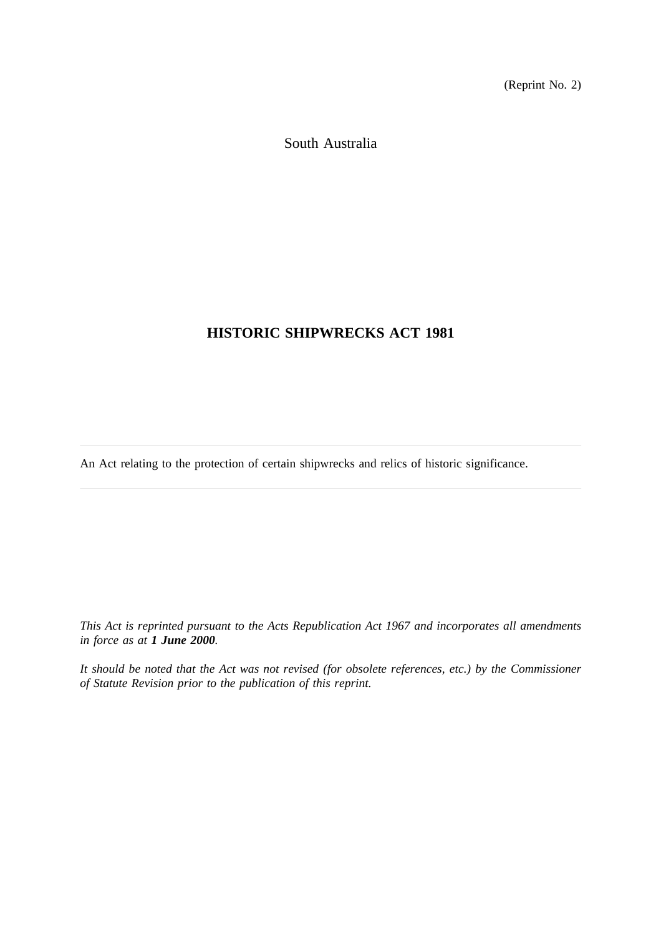(Reprint No. 2)

South Australia

# **HISTORIC SHIPWRECKS ACT 1981**

An Act relating to the protection of certain shipwrecks and relics of historic significance.

*This Act is reprinted pursuant to the Acts Republication Act 1967 and incorporates all amendments in force as at 1 June 2000.*

*It should be noted that the Act was not revised (for obsolete references, etc.) by the Commissioner of Statute Revision prior to the publication of this reprint.*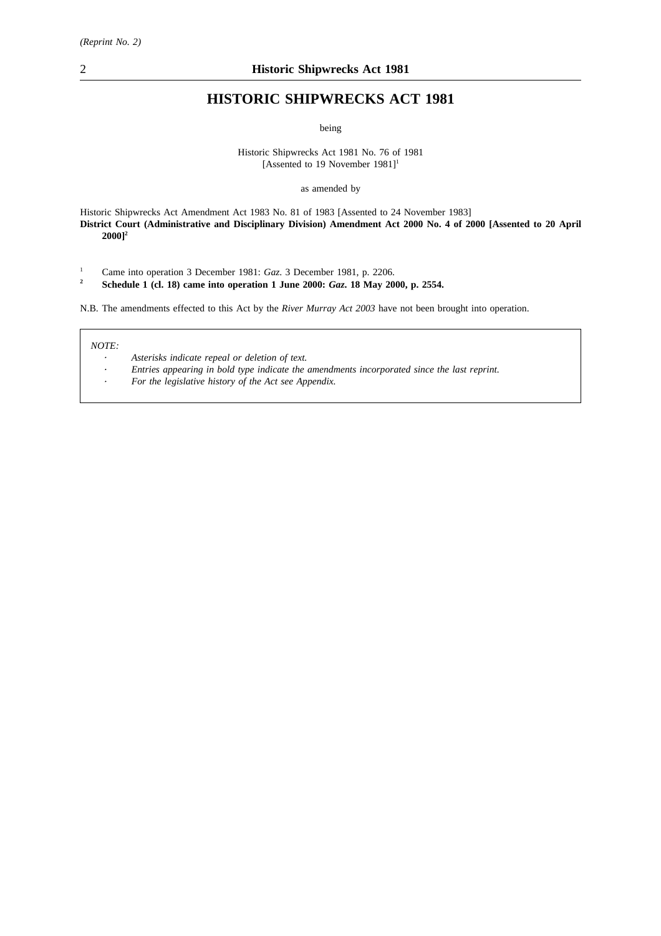# **HISTORIC SHIPWRECKS ACT 1981**

being

Historic Shipwrecks Act 1981 No. 76 of 1981 [Assented to 19 November 1981]<sup>1</sup>

as amended by

Historic Shipwrecks Act Amendment Act 1983 No. 81 of 1983 [Assented to 24 November 1983] **District Court (Administrative and Disciplinary Division) Amendment Act 2000 No. 4 of 2000 [Assented to 20 April 2000]2**

- <sup>1</sup> Came into operation 3 December 1981: *Gaz*. 3 December 1981, p. 2206.<br>**1** Schedule 1 (cl. 18) came into operation 1 June 2000: *Gaz*. 18 May 20
- **<sup>2</sup> Schedule 1 (cl. 18) came into operation 1 June 2000:** *Gaz***. 18 May 2000, p. 2554.**

N.B. The amendments effected to this Act by the *River Murray Act 2003* have not been brought into operation.

#### *NOTE:*

- *Asterisks indicate repeal or deletion of text.*
- *Entries appearing in bold type indicate the amendments incorporated since the last reprint.*
- *For the legislative history of the Act see Appendix.*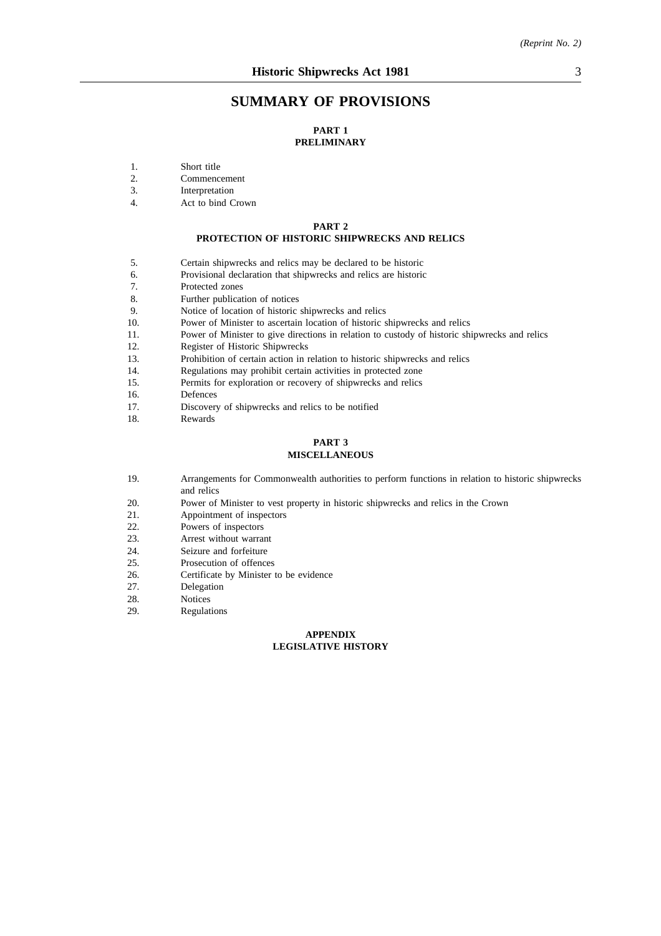## **SUMMARY OF PROVISIONS**

#### **PART 1 PRELIMINARY**

- 1. Short title<br>2. Commenc
- 2. Commencement
- 3. Interpretation
- 4. Act to bind Crown

#### **PART 2**

## **PROTECTION OF HISTORIC SHIPWRECKS AND RELICS**

- 5. Certain shipwrecks and relics may be declared to be historic
- 6. Provisional declaration that shipwrecks and relics are historic
- 7. Protected zones
- 8. Further publication of notices
- 9. Notice of location of historic shipwrecks and relics<br>10. Power of Minister to ascertain location of historic s
- Power of Minister to ascertain location of historic shipwrecks and relics
- 11. Power of Minister to give directions in relation to custody of historic shipwrecks and relics 12.
- Register of Historic Shipwrecks
- 13. Prohibition of certain action in relation to historic shipwrecks and relics
- 14. Regulations may prohibit certain activities in protected zone
- 15. Permits for exploration or recovery of shipwrecks and relics
- 16. Defences<br>17. Discovery
- 17. Discovery of shipwrecks and relics to be notified 18.
- **Rewards**

# **PART 3**

#### **MISCELLANEOUS**

- 19. Arrangements for Commonwealth authorities to perform functions in relation to historic shipwrecks and relics
- 20. Power of Minister to vest property in historic shipwrecks and relics in the Crown
- 21. Appointment of inspectors
- 
- 22. Powers of inspectors<br>23. Arrest without warra Arrest without warrant
- 24. Seizure and forfeiture
- 25. Prosecution of offences
- 26. Certificate by Minister to be evidence
- 27. Delegation
- 28. Notices
- 29. Regulations

#### **APPENDIX LEGISLATIVE HISTORY**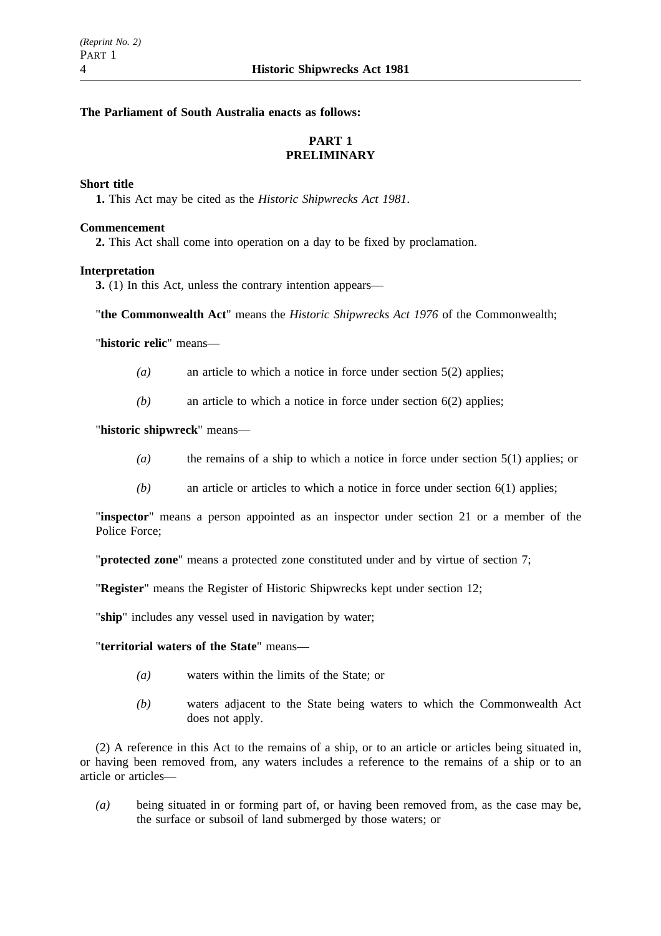## **The Parliament of South Australia enacts as follows:**

# **PART 1 PRELIMINARY**

#### **Short title**

**1.** This Act may be cited as the *Historic Shipwrecks Act 1981*.

#### **Commencement**

**2.** This Act shall come into operation on a day to be fixed by proclamation.

### **Interpretation**

**3.** (1) In this Act, unless the contrary intention appears—

"**the Commonwealth Act**" means the *Historic Shipwrecks Act 1976* of the Commonwealth;

"**historic relic**" means—

- *(a)* an article to which a notice in force under section 5(2) applies;
- *(b)* an article to which a notice in force under section 6(2) applies;

### "**historic shipwreck**" means—

- *(a)* the remains of a ship to which a notice in force under section 5(1) applies; or
- *(b)* an article or articles to which a notice in force under section 6(1) applies;

"**inspector**" means a person appointed as an inspector under section 21 or a member of the Police Force;

"**protected zone**" means a protected zone constituted under and by virtue of section 7;

"**Register**" means the Register of Historic Shipwrecks kept under section 12;

"**ship**" includes any vessel used in navigation by water;

#### "**territorial waters of the State**" means—

- *(a)* waters within the limits of the State; or
- *(b)* waters adjacent to the State being waters to which the Commonwealth Act does not apply.

(2) A reference in this Act to the remains of a ship, or to an article or articles being situated in, or having been removed from, any waters includes a reference to the remains of a ship or to an article or articles—

*(a)* being situated in or forming part of, or having been removed from, as the case may be, the surface or subsoil of land submerged by those waters; or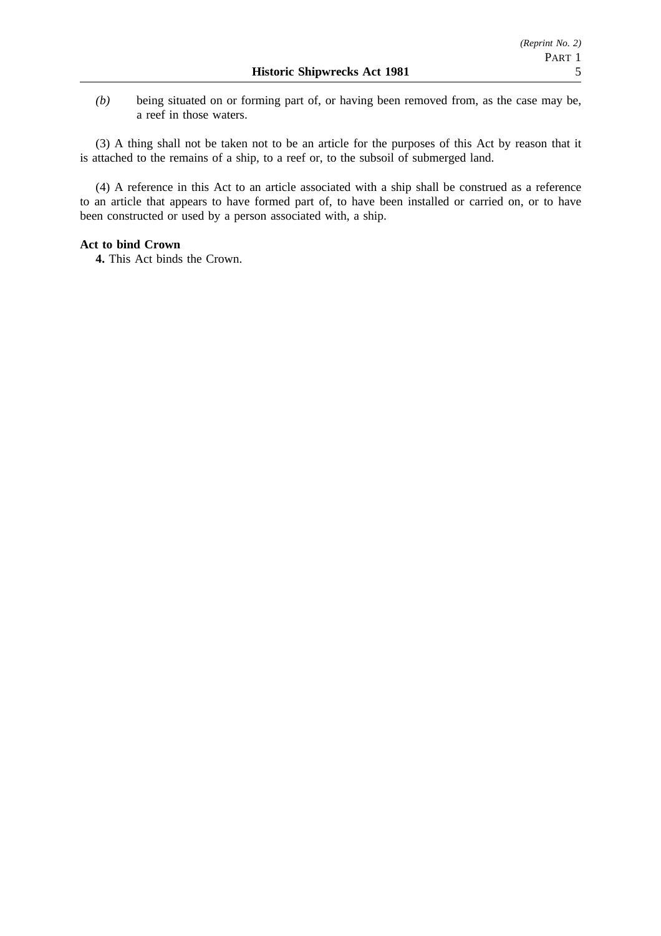*(b)* being situated on or forming part of, or having been removed from, as the case may be, a reef in those waters.

(3) A thing shall not be taken not to be an article for the purposes of this Act by reason that it is attached to the remains of a ship, to a reef or, to the subsoil of submerged land.

(4) A reference in this Act to an article associated with a ship shall be construed as a reference to an article that appears to have formed part of, to have been installed or carried on, or to have been constructed or used by a person associated with, a ship.

# **Act to bind Crown**

**4.** This Act binds the Crown.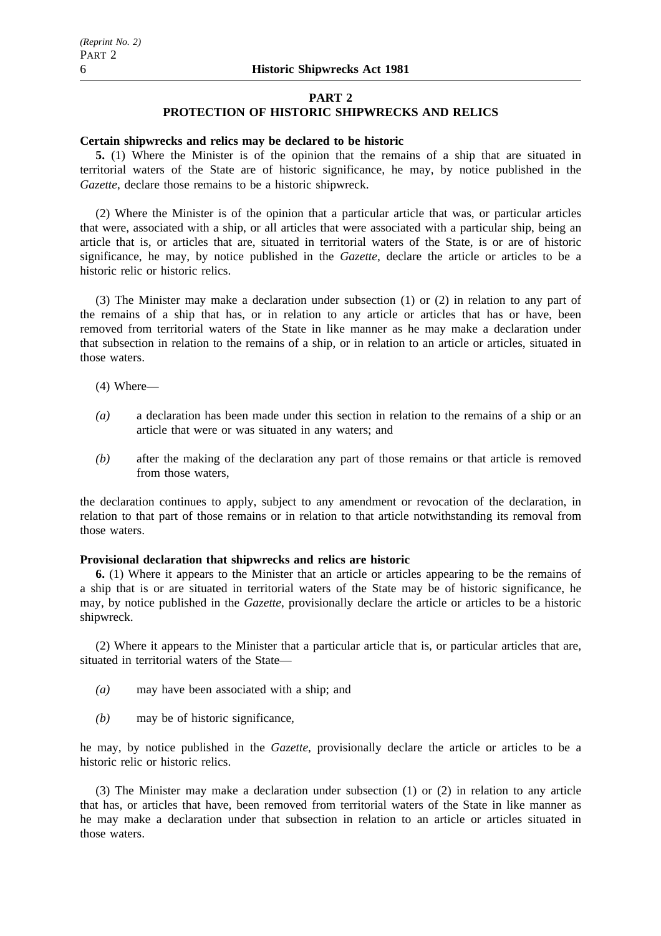#### **PART 2**

#### **PROTECTION OF HISTORIC SHIPWRECKS AND RELICS**

#### **Certain shipwrecks and relics may be declared to be historic**

**5.** (1) Where the Minister is of the opinion that the remains of a ship that are situated in territorial waters of the State are of historic significance, he may, by notice published in the *Gazette*, declare those remains to be a historic shipwreck.

(2) Where the Minister is of the opinion that a particular article that was, or particular articles that were, associated with a ship, or all articles that were associated with a particular ship, being an article that is, or articles that are, situated in territorial waters of the State, is or are of historic significance, he may, by notice published in the *Gazette*, declare the article or articles to be a historic relic or historic relics.

(3) The Minister may make a declaration under subsection (1) or (2) in relation to any part of the remains of a ship that has, or in relation to any article or articles that has or have, been removed from territorial waters of the State in like manner as he may make a declaration under that subsection in relation to the remains of a ship, or in relation to an article or articles, situated in those waters.

- (4) Where—
- *(a)* a declaration has been made under this section in relation to the remains of a ship or an article that were or was situated in any waters; and
- *(b)* after the making of the declaration any part of those remains or that article is removed from those waters,

the declaration continues to apply, subject to any amendment or revocation of the declaration, in relation to that part of those remains or in relation to that article notwithstanding its removal from those waters.

#### **Provisional declaration that shipwrecks and relics are historic**

**6.** (1) Where it appears to the Minister that an article or articles appearing to be the remains of a ship that is or are situated in territorial waters of the State may be of historic significance, he may, by notice published in the *Gazette*, provisionally declare the article or articles to be a historic shipwreck.

(2) Where it appears to the Minister that a particular article that is, or particular articles that are, situated in territorial waters of the State—

- *(a)* may have been associated with a ship; and
- *(b)* may be of historic significance,

he may, by notice published in the *Gazette*, provisionally declare the article or articles to be a historic relic or historic relics.

(3) The Minister may make a declaration under subsection (1) or (2) in relation to any article that has, or articles that have, been removed from territorial waters of the State in like manner as he may make a declaration under that subsection in relation to an article or articles situated in those waters.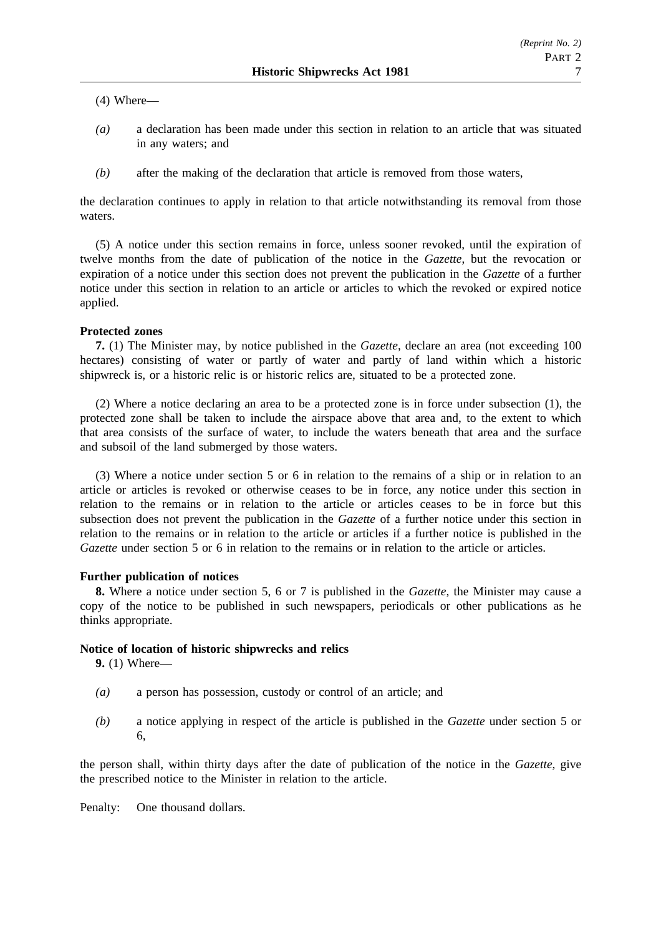(4) Where—

- *(a)* a declaration has been made under this section in relation to an article that was situated in any waters; and
- *(b)* after the making of the declaration that article is removed from those waters,

the declaration continues to apply in relation to that article notwithstanding its removal from those waters.

(5) A notice under this section remains in force, unless sooner revoked, until the expiration of twelve months from the date of publication of the notice in the *Gazette*, but the revocation or expiration of a notice under this section does not prevent the publication in the *Gazette* of a further notice under this section in relation to an article or articles to which the revoked or expired notice applied.

### **Protected zones**

**7.** (1) The Minister may, by notice published in the *Gazette*, declare an area (not exceeding 100 hectares) consisting of water or partly of water and partly of land within which a historic shipwreck is, or a historic relic is or historic relics are, situated to be a protected zone.

(2) Where a notice declaring an area to be a protected zone is in force under subsection (1), the protected zone shall be taken to include the airspace above that area and, to the extent to which that area consists of the surface of water, to include the waters beneath that area and the surface and subsoil of the land submerged by those waters.

(3) Where a notice under section 5 or 6 in relation to the remains of a ship or in relation to an article or articles is revoked or otherwise ceases to be in force, any notice under this section in relation to the remains or in relation to the article or articles ceases to be in force but this subsection does not prevent the publication in the *Gazette* of a further notice under this section in relation to the remains or in relation to the article or articles if a further notice is published in the *Gazette* under section 5 or 6 in relation to the remains or in relation to the article or articles.

#### **Further publication of notices**

**8.** Where a notice under section 5, 6 or 7 is published in the *Gazette*, the Minister may cause a copy of the notice to be published in such newspapers, periodicals or other publications as he thinks appropriate.

#### **Notice of location of historic shipwrecks and relics**

**9.** (1) Where—

- *(a)* a person has possession, custody or control of an article; and
- *(b)* a notice applying in respect of the article is published in the *Gazette* under section 5 or 6,

the person shall, within thirty days after the date of publication of the notice in the *Gazette*, give the prescribed notice to the Minister in relation to the article.

Penalty: One thousand dollars.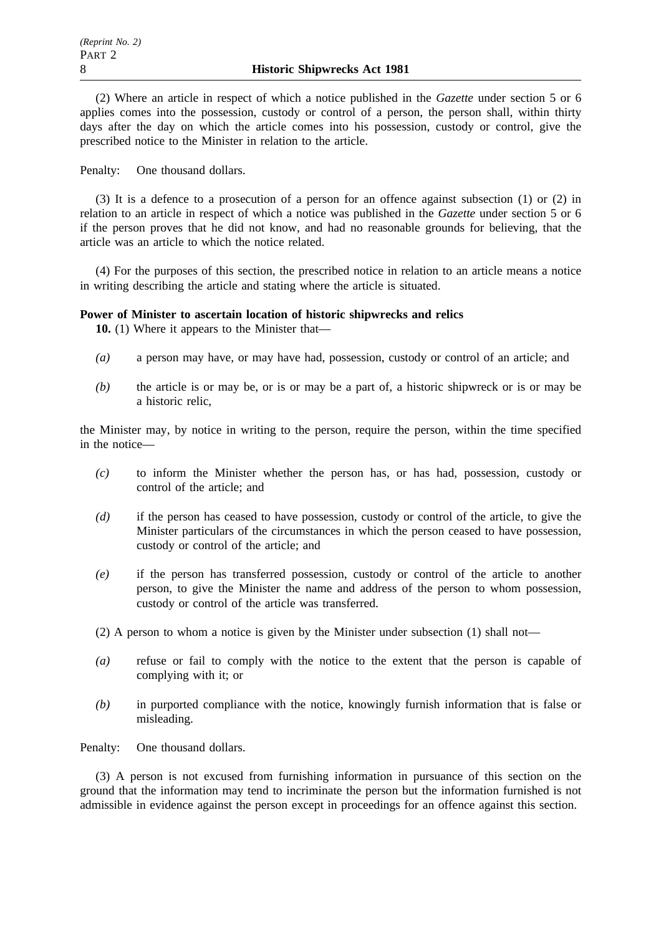(2) Where an article in respect of which a notice published in the *Gazette* under section 5 or 6 applies comes into the possession, custody or control of a person, the person shall, within thirty days after the day on which the article comes into his possession, custody or control, give the prescribed notice to the Minister in relation to the article.

Penalty: One thousand dollars.

(3) It is a defence to a prosecution of a person for an offence against subsection (1) or (2) in relation to an article in respect of which a notice was published in the *Gazette* under section 5 or 6 if the person proves that he did not know, and had no reasonable grounds for believing, that the article was an article to which the notice related.

(4) For the purposes of this section, the prescribed notice in relation to an article means a notice in writing describing the article and stating where the article is situated.

### **Power of Minister to ascertain location of historic shipwrecks and relics**

**10.** (1) Where it appears to the Minister that—

- *(a)* a person may have, or may have had, possession, custody or control of an article; and
- *(b)* the article is or may be, or is or may be a part of, a historic shipwreck or is or may be a historic relic,

the Minister may, by notice in writing to the person, require the person, within the time specified in the notice—

- *(c)* to inform the Minister whether the person has, or has had, possession, custody or control of the article; and
- *(d)* if the person has ceased to have possession, custody or control of the article, to give the Minister particulars of the circumstances in which the person ceased to have possession, custody or control of the article; and
- *(e)* if the person has transferred possession, custody or control of the article to another person, to give the Minister the name and address of the person to whom possession, custody or control of the article was transferred.

(2) A person to whom a notice is given by the Minister under subsection (1) shall not—

- *(a)* refuse or fail to comply with the notice to the extent that the person is capable of complying with it; or
- *(b)* in purported compliance with the notice, knowingly furnish information that is false or misleading.

Penalty: One thousand dollars.

(3) A person is not excused from furnishing information in pursuance of this section on the ground that the information may tend to incriminate the person but the information furnished is not admissible in evidence against the person except in proceedings for an offence against this section.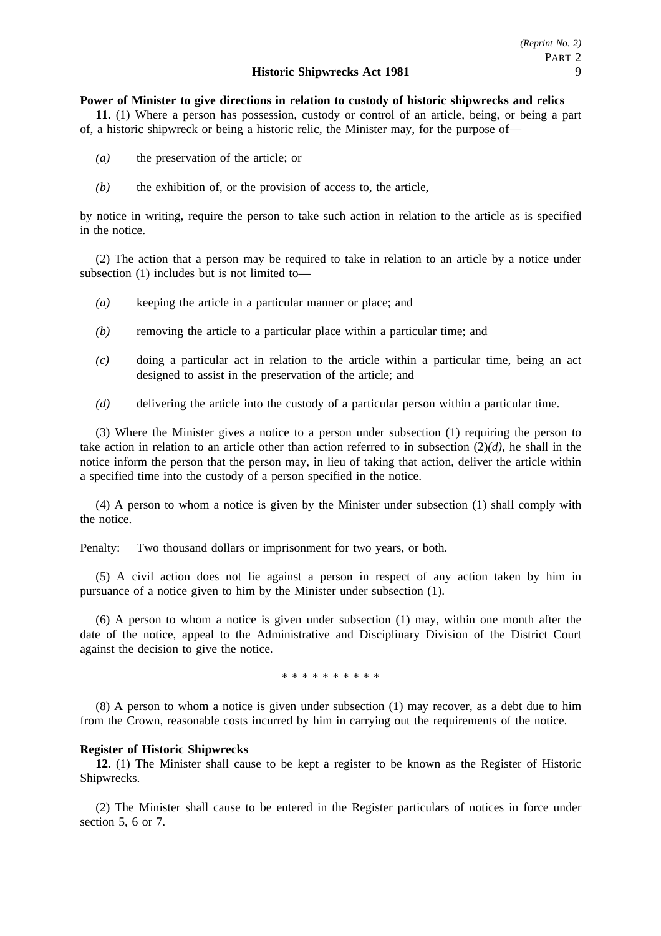#### **Power of Minister to give directions in relation to custody of historic shipwrecks and relics**

**11.** (1) Where a person has possession, custody or control of an article, being, or being a part of, a historic shipwreck or being a historic relic, the Minister may, for the purpose of—

- *(a)* the preservation of the article; or
- *(b)* the exhibition of, or the provision of access to, the article,

by notice in writing, require the person to take such action in relation to the article as is specified in the notice.

(2) The action that a person may be required to take in relation to an article by a notice under subsection (1) includes but is not limited to—

- *(a)* keeping the article in a particular manner or place; and
- *(b)* removing the article to a particular place within a particular time; and
- *(c)* doing a particular act in relation to the article within a particular time, being an act designed to assist in the preservation of the article; and
- *(d)* delivering the article into the custody of a particular person within a particular time.

(3) Where the Minister gives a notice to a person under subsection (1) requiring the person to take action in relation to an article other than action referred to in subsection (2)*(d)*, he shall in the notice inform the person that the person may, in lieu of taking that action, deliver the article within a specified time into the custody of a person specified in the notice.

(4) A person to whom a notice is given by the Minister under subsection (1) shall comply with the notice.

Penalty: Two thousand dollars or imprisonment for two years, or both.

(5) A civil action does not lie against a person in respect of any action taken by him in pursuance of a notice given to him by the Minister under subsection (1).

(6) A person to whom a notice is given under subsection (1) may, within one month after the date of the notice, appeal to the Administrative and Disciplinary Division of the District Court against the decision to give the notice.

\*\*\*\*\*\*\*\*\*\*

(8) A person to whom a notice is given under subsection (1) may recover, as a debt due to him from the Crown, reasonable costs incurred by him in carrying out the requirements of the notice.

#### **Register of Historic Shipwrecks**

**12.** (1) The Minister shall cause to be kept a register to be known as the Register of Historic Shipwrecks.

(2) The Minister shall cause to be entered in the Register particulars of notices in force under section 5, 6 or 7.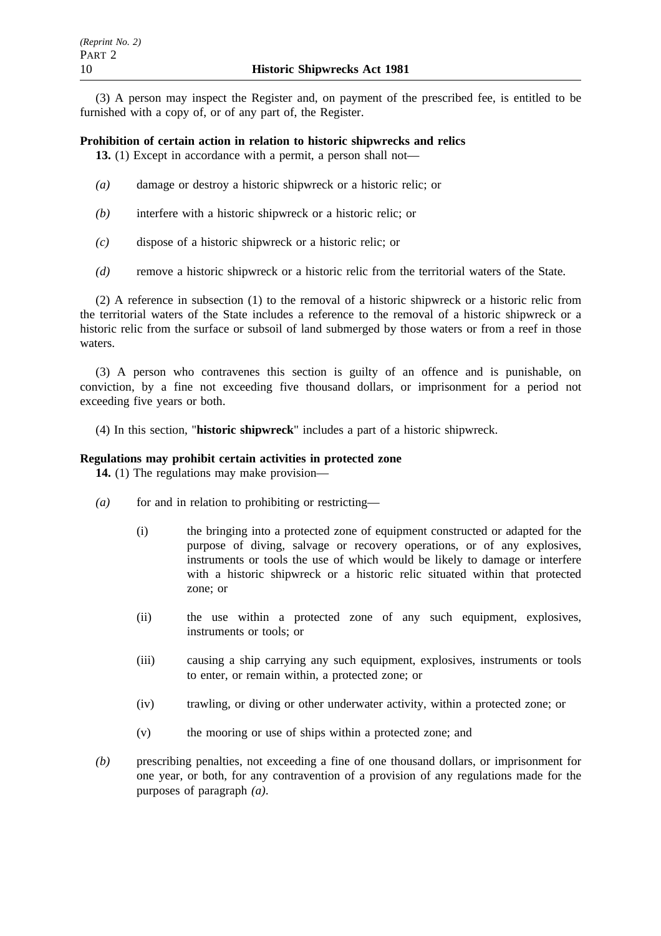(3) A person may inspect the Register and, on payment of the prescribed fee, is entitled to be furnished with a copy of, or of any part of, the Register.

## **Prohibition of certain action in relation to historic shipwrecks and relics**

**13.** (1) Except in accordance with a permit, a person shall not—

- *(a)* damage or destroy a historic shipwreck or a historic relic; or
- *(b)* interfere with a historic shipwreck or a historic relic; or
- *(c)* dispose of a historic shipwreck or a historic relic; or
- *(d)* remove a historic shipwreck or a historic relic from the territorial waters of the State.

(2) A reference in subsection (1) to the removal of a historic shipwreck or a historic relic from the territorial waters of the State includes a reference to the removal of a historic shipwreck or a historic relic from the surface or subsoil of land submerged by those waters or from a reef in those waters.

(3) A person who contravenes this section is guilty of an offence and is punishable, on conviction, by a fine not exceeding five thousand dollars, or imprisonment for a period not exceeding five years or both.

(4) In this section, "**historic shipwreck**" includes a part of a historic shipwreck.

#### **Regulations may prohibit certain activities in protected zone**

**14.** (1) The regulations may make provision—

- *(a)* for and in relation to prohibiting or restricting—
	- (i) the bringing into a protected zone of equipment constructed or adapted for the purpose of diving, salvage or recovery operations, or of any explosives, instruments or tools the use of which would be likely to damage or interfere with a historic shipwreck or a historic relic situated within that protected zone; or
	- (ii) the use within a protected zone of any such equipment, explosives, instruments or tools; or
	- (iii) causing a ship carrying any such equipment, explosives, instruments or tools to enter, or remain within, a protected zone; or
	- (iv) trawling, or diving or other underwater activity, within a protected zone; or
	- (v) the mooring or use of ships within a protected zone; and
- *(b)* prescribing penalties, not exceeding a fine of one thousand dollars, or imprisonment for one year, or both, for any contravention of a provision of any regulations made for the purposes of paragraph *(a)*.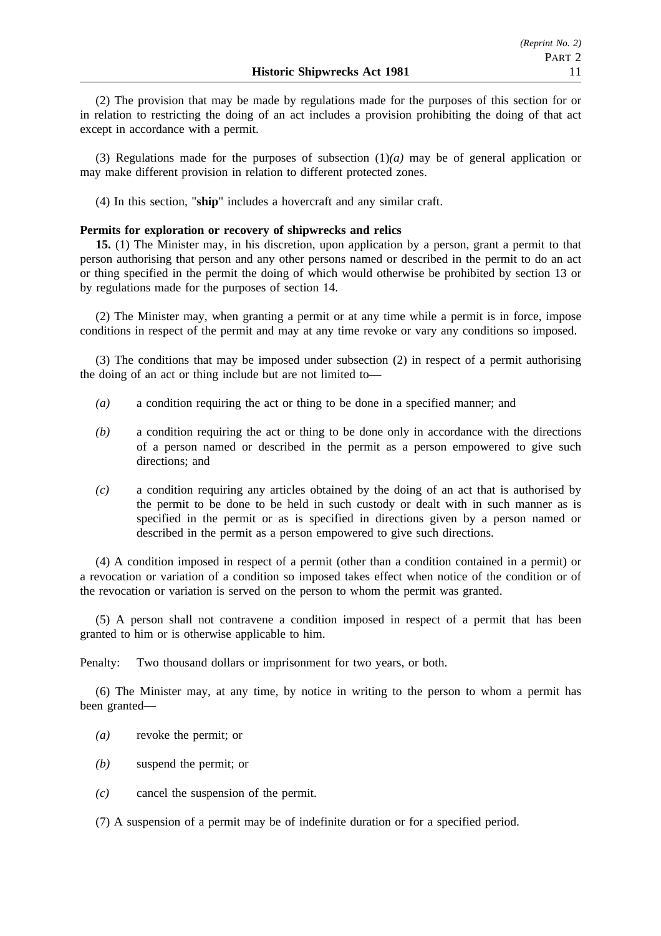(2) The provision that may be made by regulations made for the purposes of this section for or in relation to restricting the doing of an act includes a provision prohibiting the doing of that act except in accordance with a permit.

(3) Regulations made for the purposes of subsection (1)*(a)* may be of general application or may make different provision in relation to different protected zones.

(4) In this section, "**ship**" includes a hovercraft and any similar craft.

#### **Permits for exploration or recovery of shipwrecks and relics**

**15.** (1) The Minister may, in his discretion, upon application by a person, grant a permit to that person authorising that person and any other persons named or described in the permit to do an act or thing specified in the permit the doing of which would otherwise be prohibited by section 13 or by regulations made for the purposes of section 14.

(2) The Minister may, when granting a permit or at any time while a permit is in force, impose conditions in respect of the permit and may at any time revoke or vary any conditions so imposed.

(3) The conditions that may be imposed under subsection (2) in respect of a permit authorising the doing of an act or thing include but are not limited to—

- *(a)* a condition requiring the act or thing to be done in a specified manner; and
- *(b)* a condition requiring the act or thing to be done only in accordance with the directions of a person named or described in the permit as a person empowered to give such directions; and
- *(c)* a condition requiring any articles obtained by the doing of an act that is authorised by the permit to be done to be held in such custody or dealt with in such manner as is specified in the permit or as is specified in directions given by a person named or described in the permit as a person empowered to give such directions.

(4) A condition imposed in respect of a permit (other than a condition contained in a permit) or a revocation or variation of a condition so imposed takes effect when notice of the condition or of the revocation or variation is served on the person to whom the permit was granted.

(5) A person shall not contravene a condition imposed in respect of a permit that has been granted to him or is otherwise applicable to him.

Penalty: Two thousand dollars or imprisonment for two years, or both.

(6) The Minister may, at any time, by notice in writing to the person to whom a permit has been granted—

- *(a)* revoke the permit; or
- *(b)* suspend the permit; or
- *(c)* cancel the suspension of the permit.

(7) A suspension of a permit may be of indefinite duration or for a specified period.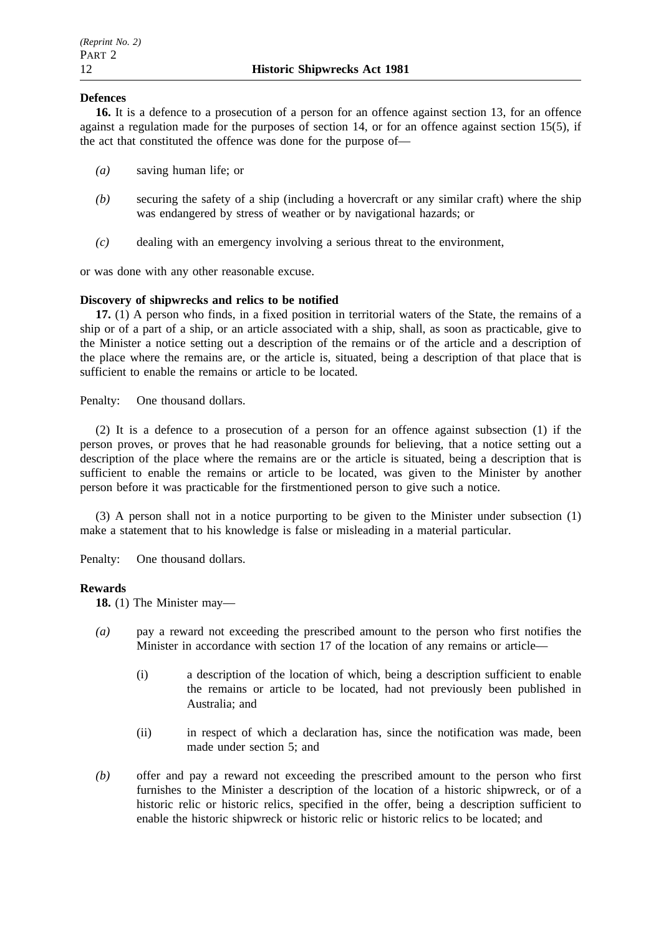## **Defences**

**16.** It is a defence to a prosecution of a person for an offence against section 13, for an offence against a regulation made for the purposes of section 14, or for an offence against section 15(5), if the act that constituted the offence was done for the purpose of—

- *(a)* saving human life; or
- *(b)* securing the safety of a ship (including a hovercraft or any similar craft) where the ship was endangered by stress of weather or by navigational hazards; or
- *(c)* dealing with an emergency involving a serious threat to the environment,

or was done with any other reasonable excuse.

### **Discovery of shipwrecks and relics to be notified**

**17.** (1) A person who finds, in a fixed position in territorial waters of the State, the remains of a ship or of a part of a ship, or an article associated with a ship, shall, as soon as practicable, give to the Minister a notice setting out a description of the remains or of the article and a description of the place where the remains are, or the article is, situated, being a description of that place that is sufficient to enable the remains or article to be located.

Penalty: One thousand dollars.

(2) It is a defence to a prosecution of a person for an offence against subsection (1) if the person proves, or proves that he had reasonable grounds for believing, that a notice setting out a description of the place where the remains are or the article is situated, being a description that is sufficient to enable the remains or article to be located, was given to the Minister by another person before it was practicable for the firstmentioned person to give such a notice.

(3) A person shall not in a notice purporting to be given to the Minister under subsection (1) make a statement that to his knowledge is false or misleading in a material particular.

Penalty: One thousand dollars.

#### **Rewards**

**18.** (1) The Minister may—

- *(a)* pay a reward not exceeding the prescribed amount to the person who first notifies the Minister in accordance with section 17 of the location of any remains or article—
	- (i) a description of the location of which, being a description sufficient to enable the remains or article to be located, had not previously been published in Australia; and
	- (ii) in respect of which a declaration has, since the notification was made, been made under section 5; and
- *(b)* offer and pay a reward not exceeding the prescribed amount to the person who first furnishes to the Minister a description of the location of a historic shipwreck, or of a historic relic or historic relics, specified in the offer, being a description sufficient to enable the historic shipwreck or historic relic or historic relics to be located; and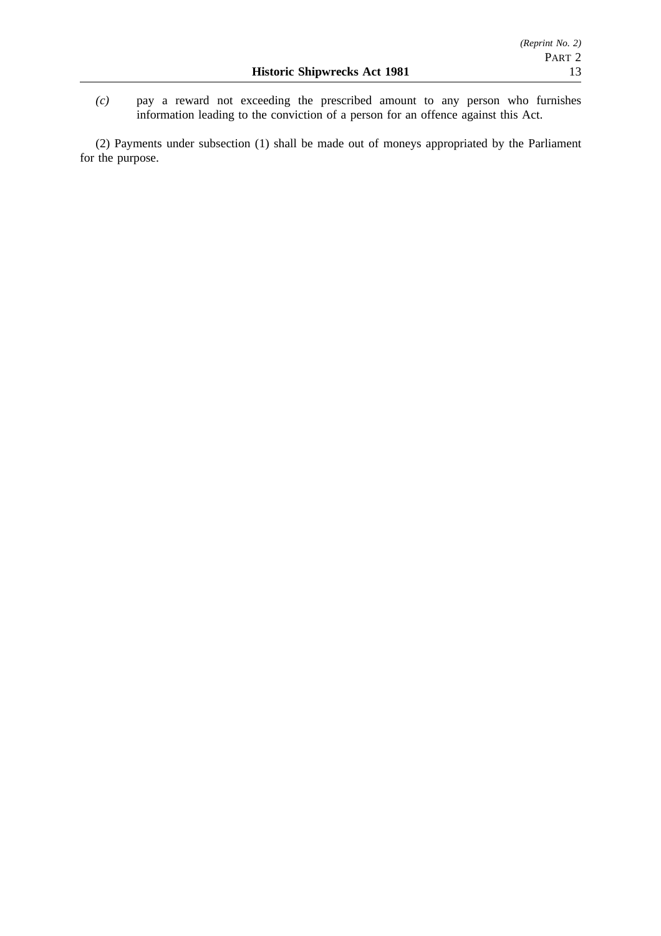*(c)* pay a reward not exceeding the prescribed amount to any person who furnishes information leading to the conviction of a person for an offence against this Act.

(2) Payments under subsection (1) shall be made out of moneys appropriated by the Parliament for the purpose.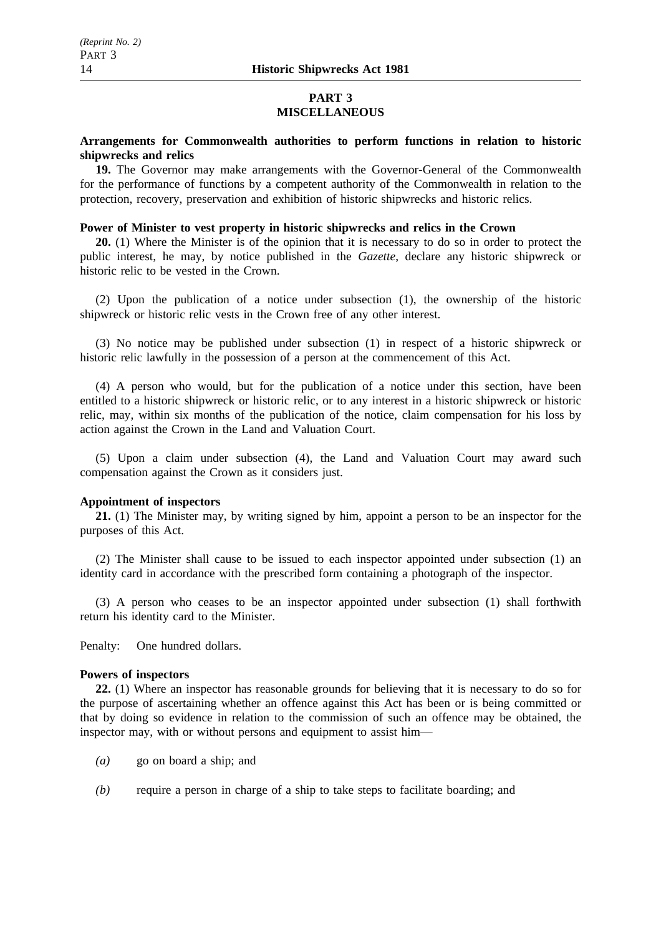## **PART 3 MISCELLANEOUS**

## **Arrangements for Commonwealth authorities to perform functions in relation to historic shipwrecks and relics**

**19.** The Governor may make arrangements with the Governor-General of the Commonwealth for the performance of functions by a competent authority of the Commonwealth in relation to the protection, recovery, preservation and exhibition of historic shipwrecks and historic relics.

## **Power of Minister to vest property in historic shipwrecks and relics in the Crown**

**20.** (1) Where the Minister is of the opinion that it is necessary to do so in order to protect the public interest, he may, by notice published in the *Gazette*, declare any historic shipwreck or historic relic to be vested in the Crown.

(2) Upon the publication of a notice under subsection (1), the ownership of the historic shipwreck or historic relic vests in the Crown free of any other interest.

(3) No notice may be published under subsection (1) in respect of a historic shipwreck or historic relic lawfully in the possession of a person at the commencement of this Act.

(4) A person who would, but for the publication of a notice under this section, have been entitled to a historic shipwreck or historic relic, or to any interest in a historic shipwreck or historic relic, may, within six months of the publication of the notice, claim compensation for his loss by action against the Crown in the Land and Valuation Court.

(5) Upon a claim under subsection (4), the Land and Valuation Court may award such compensation against the Crown as it considers just.

## **Appointment of inspectors**

**21.** (1) The Minister may, by writing signed by him, appoint a person to be an inspector for the purposes of this Act.

(2) The Minister shall cause to be issued to each inspector appointed under subsection (1) an identity card in accordance with the prescribed form containing a photograph of the inspector.

(3) A person who ceases to be an inspector appointed under subsection (1) shall forthwith return his identity card to the Minister.

Penalty: One hundred dollars.

#### **Powers of inspectors**

**22.** (1) Where an inspector has reasonable grounds for believing that it is necessary to do so for the purpose of ascertaining whether an offence against this Act has been or is being committed or that by doing so evidence in relation to the commission of such an offence may be obtained, the inspector may, with or without persons and equipment to assist him—

- *(a)* go on board a ship; and
- *(b)* require a person in charge of a ship to take steps to facilitate boarding; and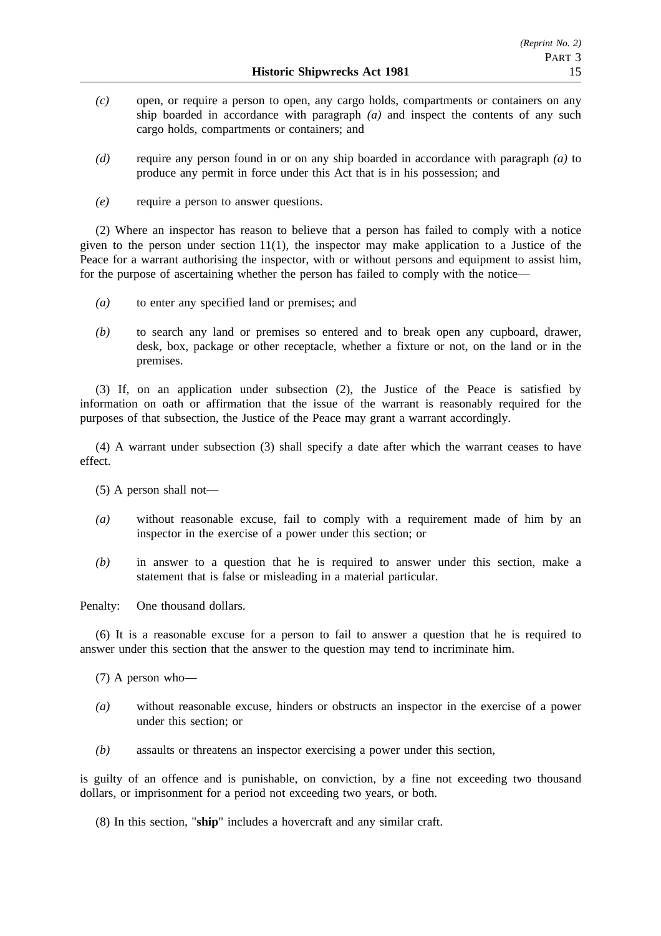- *(c)* open, or require a person to open, any cargo holds, compartments or containers on any ship boarded in accordance with paragraph *(a)* and inspect the contents of any such cargo holds, compartments or containers; and
- *(d)* require any person found in or on any ship boarded in accordance with paragraph *(a)* to produce any permit in force under this Act that is in his possession; and
- *(e)* require a person to answer questions.

(2) Where an inspector has reason to believe that a person has failed to comply with a notice given to the person under section  $11(1)$ , the inspector may make application to a Justice of the Peace for a warrant authorising the inspector, with or without persons and equipment to assist him, for the purpose of ascertaining whether the person has failed to comply with the notice—

- *(a)* to enter any specified land or premises; and
- *(b)* to search any land or premises so entered and to break open any cupboard, drawer, desk, box, package or other receptacle, whether a fixture or not, on the land or in the premises.

(3) If, on an application under subsection (2), the Justice of the Peace is satisfied by information on oath or affirmation that the issue of the warrant is reasonably required for the purposes of that subsection, the Justice of the Peace may grant a warrant accordingly.

(4) A warrant under subsection (3) shall specify a date after which the warrant ceases to have effect.

(5) A person shall not—

- *(a)* without reasonable excuse, fail to comply with a requirement made of him by an inspector in the exercise of a power under this section; or
- *(b)* in answer to a question that he is required to answer under this section, make a statement that is false or misleading in a material particular.

Penalty: One thousand dollars.

(6) It is a reasonable excuse for a person to fail to answer a question that he is required to answer under this section that the answer to the question may tend to incriminate him.

(7) A person who—

- *(a)* without reasonable excuse, hinders or obstructs an inspector in the exercise of a power under this section; or
- *(b)* assaults or threatens an inspector exercising a power under this section,

is guilty of an offence and is punishable, on conviction, by a fine not exceeding two thousand dollars, or imprisonment for a period not exceeding two years, or both.

(8) In this section, "**ship**" includes a hovercraft and any similar craft.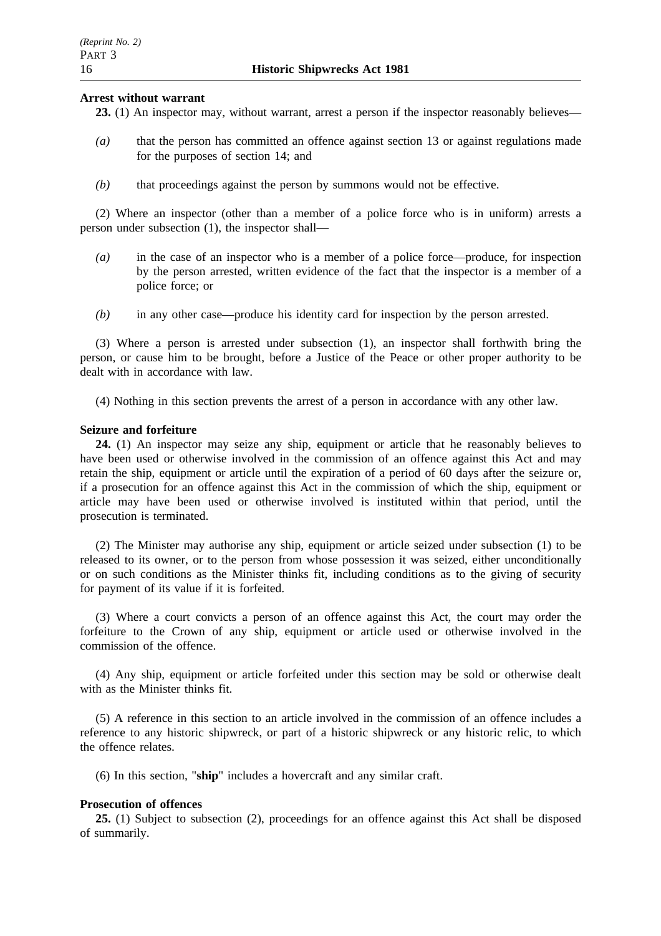#### **Arrest without warrant**

**23.** (1) An inspector may, without warrant, arrest a person if the inspector reasonably believes—

- *(a)* that the person has committed an offence against section 13 or against regulations made for the purposes of section 14; and
- *(b)* that proceedings against the person by summons would not be effective.

(2) Where an inspector (other than a member of a police force who is in uniform) arrests a person under subsection (1), the inspector shall—

- *(a)* in the case of an inspector who is a member of a police force—produce, for inspection by the person arrested, written evidence of the fact that the inspector is a member of a police force; or
- *(b)* in any other case—produce his identity card for inspection by the person arrested.

(3) Where a person is arrested under subsection (1), an inspector shall forthwith bring the person, or cause him to be brought, before a Justice of the Peace or other proper authority to be dealt with in accordance with law.

(4) Nothing in this section prevents the arrest of a person in accordance with any other law.

#### **Seizure and forfeiture**

**24.** (1) An inspector may seize any ship, equipment or article that he reasonably believes to have been used or otherwise involved in the commission of an offence against this Act and may retain the ship, equipment or article until the expiration of a period of 60 days after the seizure or, if a prosecution for an offence against this Act in the commission of which the ship, equipment or article may have been used or otherwise involved is instituted within that period, until the prosecution is terminated.

(2) The Minister may authorise any ship, equipment or article seized under subsection (1) to be released to its owner, or to the person from whose possession it was seized, either unconditionally or on such conditions as the Minister thinks fit, including conditions as to the giving of security for payment of its value if it is forfeited.

(3) Where a court convicts a person of an offence against this Act, the court may order the forfeiture to the Crown of any ship, equipment or article used or otherwise involved in the commission of the offence.

(4) Any ship, equipment or article forfeited under this section may be sold or otherwise dealt with as the Minister thinks fit.

(5) A reference in this section to an article involved in the commission of an offence includes a reference to any historic shipwreck, or part of a historic shipwreck or any historic relic, to which the offence relates.

(6) In this section, "**ship**" includes a hovercraft and any similar craft.

#### **Prosecution of offences**

**25.** (1) Subject to subsection (2), proceedings for an offence against this Act shall be disposed of summarily.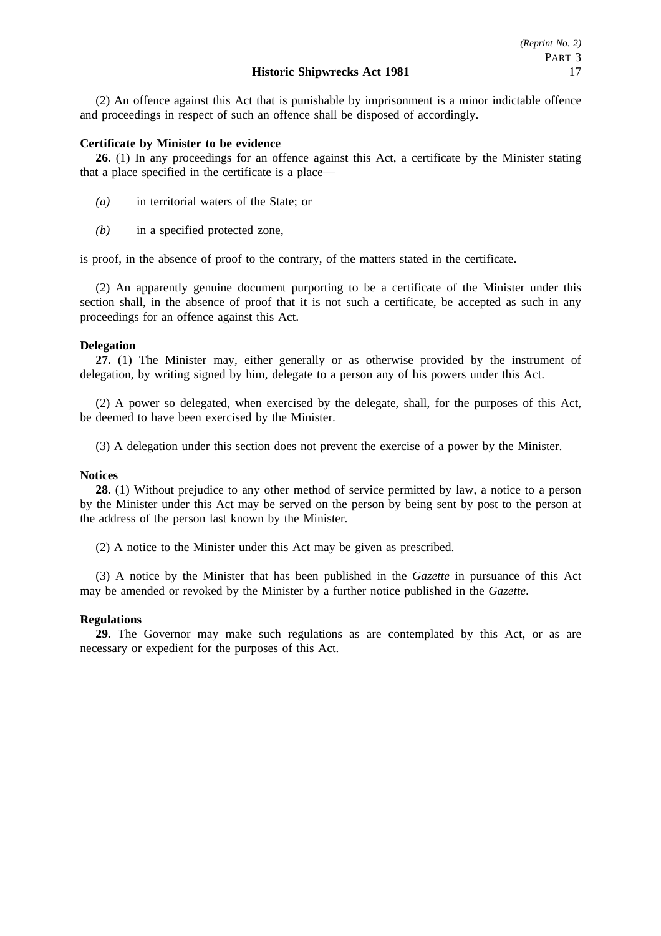(2) An offence against this Act that is punishable by imprisonment is a minor indictable offence and proceedings in respect of such an offence shall be disposed of accordingly.

### **Certificate by Minister to be evidence**

26. (1) In any proceedings for an offence against this Act, a certificate by the Minister stating that a place specified in the certificate is a place—

- *(a)* in territorial waters of the State; or
- *(b)* in a specified protected zone,

is proof, in the absence of proof to the contrary, of the matters stated in the certificate.

(2) An apparently genuine document purporting to be a certificate of the Minister under this section shall, in the absence of proof that it is not such a certificate, be accepted as such in any proceedings for an offence against this Act.

#### **Delegation**

**27.** (1) The Minister may, either generally or as otherwise provided by the instrument of delegation, by writing signed by him, delegate to a person any of his powers under this Act.

(2) A power so delegated, when exercised by the delegate, shall, for the purposes of this Act, be deemed to have been exercised by the Minister.

(3) A delegation under this section does not prevent the exercise of a power by the Minister.

#### **Notices**

**28.** (1) Without prejudice to any other method of service permitted by law, a notice to a person by the Minister under this Act may be served on the person by being sent by post to the person at the address of the person last known by the Minister.

(2) A notice to the Minister under this Act may be given as prescribed.

(3) A notice by the Minister that has been published in the *Gazette* in pursuance of this Act may be amended or revoked by the Minister by a further notice published in the *Gazette*.

#### **Regulations**

**29.** The Governor may make such regulations as are contemplated by this Act, or as are necessary or expedient for the purposes of this Act.